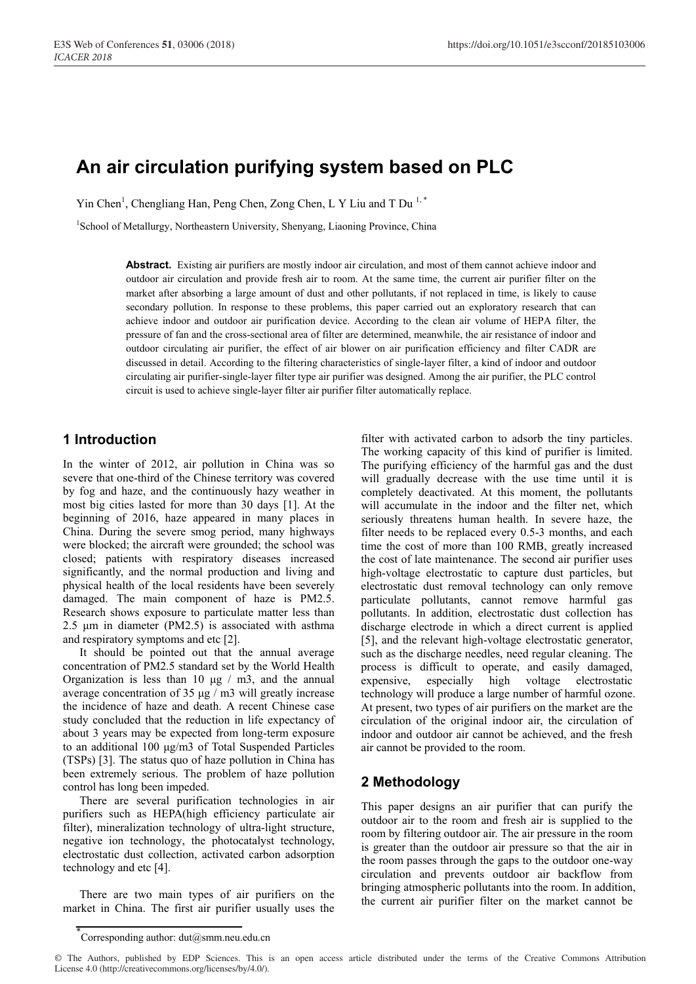# **An air circulation purifying system based on PLC**

Yin Chen<sup>1</sup>, Chengliang Han, Peng Chen, Zong Chen, L Y Liu and T Du<sup>1,\*</sup>

<sup>1</sup>School of Metallurgy, Northeastern University, Shenyang, Liaoning Province, China

**Abstract.** Existing air purifiers are mostly indoor air circulation, and most of them cannot achieve indoor and outdoor air circulation and provide fresh air to room. At the same time, the current air purifier filter on the market after absorbing a large amount of dust and other pollutants, if not replaced in time, is likely to cause secondary pollution. In response to these problems, this paper carried out an exploratory research that can achieve indoor and outdoor air purification device. According to the clean air volume of HEPA filter, the pressure of fan and the cross-sectional area of filter are determined, meanwhile, the air resistance of indoor and outdoor circulating air purifier, the effect of air blower on air purification efficiency and filter CADR are discussed in detail. According to the filtering characteristics of single-layer filter, a kind of indoor and outdoor circulating air purifier-single-layer filter type air purifier was designed. Among the air purifier, the PLC control circuit is used to achieve single-layer filter air purifier filter automatically replace.

# **1 Introduction**

In the winter of 2012, air pollution in China was so severe that one-third of the Chinese territory was covered by fog and haze, and the continuously hazy weather in most big cities lasted for more than 30 days [1]. At the beginning of 2016, haze appeared in many places in China. During the severe smog period, many highways were blocked; the aircraft were grounded; the school was closed; patients with respiratory diseases increased significantly, and the normal production and living and physical health of the local residents have been severely damaged. The main component of haze is PM2.5. Research shows exposure to particulate matter less than 2.5 μm in diameter (PM2.5) is associated with asthma and respiratory symptoms and etc [2].

It should be pointed out that the annual average concentration of PM2.5 standard set by the World Health Organization is less than 10  $\mu$ g / m3, and the annual average concentration of 35 μg / m3 will greatly increase the incidence of haze and death. A recent Chinese case study concluded that the reduction in life expectancy of about 3 years may be expected from long-term exposure to an additional 100 μg/m3 of Total Suspended Particles (TSPs) [3]. The status quo of haze pollution in China has been extremely serious. The problem of haze pollution control has long been impeded.

There are several purification technologies in air purifiers such as HEPA(high efficiency particulate air filter), mineralization technology of ultra-light structure, negative ion technology, the photocatalyst technology, electrostatic dust collection, activated carbon adsorption technology and etc [4].

There are two main types of air purifiers on the market in China. The first air purifier usually uses the

filter with activated carbon to adsorb the tiny particles. The working capacity of this kind of purifier is limited. The purifying efficiency of the harmful gas and the dust will gradually decrease with the use time until it is completely deactivated. At this moment, the pollutants will accumulate in the indoor and the filter net, which seriously threatens human health. In severe haze, the filter needs to be replaced every 0.5-3 months, and each time the cost of more than 100 RMB, greatly increased the cost of late maintenance. The second air purifier uses high-voltage electrostatic to capture dust particles, but electrostatic dust removal technology can only remove particulate pollutants, cannot remove harmful gas pollutants. In addition, electrostatic dust collection has discharge electrode in which a direct current is applied [5], and the relevant high-voltage electrostatic generator, such as the discharge needles, need regular cleaning. The process is difficult to operate, and easily damaged, expensive, especially high voltage electrostatic technology will produce a large number of harmful ozone. At present, two types of air purifiers on the market are the circulation of the original indoor air, the circulation of indoor and outdoor air cannot be achieved, and the fresh air cannot be provided to the room.

# **2 Methodology**

This paper designs an air purifier that can purify the outdoor air to the room and fresh air is supplied to the room by filtering outdoor air. The air pressure in the room is greater than the outdoor air pressure so that the air in the room passes through the gaps to the outdoor one-way circulation and prevents outdoor air backflow from bringing atmospheric pollutants into the room. In addition, the current air purifier filter on the market cannot be

<sup>\*</sup> Corresponding author: dut@smm.neu.edu.cn

<sup>©</sup> The Authors, published by EDP Sciences. This is an open access article distributed under the terms of the Creative Commons Attribution License 4.0 (http://creativecommons.org/licenses/by/4.0/).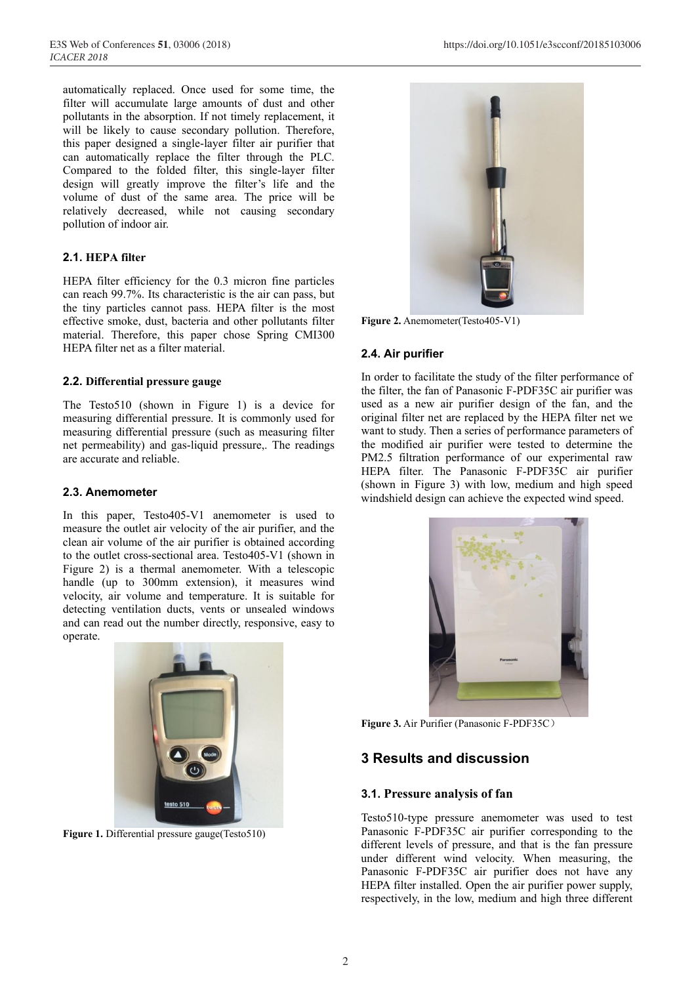automatically replaced. Once used for some time, the filter will accumulate large amounts of dust and other pollutants in the absorption. If not timely replacement, it will be likely to cause secondary pollution. Therefore, this paper designed a single-layer filter air purifier that can automatically replace the filter through the PLC. Compared to the folded filter, this single-layer filter design will greatly improve the filter's life and the volume of dust of the same area. The price will be relatively decreased, while not causing secondary pollution of indoor air.

#### **2.1. HEPA filter**

HEPA filter efficiency for the 0.3 micron fine particles can reach 99.7%. Its characteristic is the air can pass, but the tiny particles cannot pass. HEPA filter is the most effective smoke, dust, bacteria and other pollutants filter material. Therefore, this paper chose Spring CMI300 HEPA filter net as a filter material.

#### **2.2. Differential pressure gauge**

The Testo510 (shown in Figure 1) is a device for measuring differential pressure. It is commonly used for measuring differential pressure (such as measuring filter net permeability) and gas-liquid pressure,. The readings are accurate and reliable.

#### **2.3. Anemometer**

In this paper, Testo405-V1 anemometer is used to measure the outlet air velocity of the air purifier, and the clean air volume of the air purifier is obtained according to the outlet cross-sectional area. Testo405-V1 (shown in Figure 2) is a thermal anemometer. With a telescopic handle (up to 300mm extension), it measures wind velocity, air volume and temperature. It is suitable for detecting ventilation ducts, vents or unsealed windows and can read out the number directly, responsive, easy to operate.



**Figure 1.** Differential pressure gauge(Testo510)



**Figure 2.** Anemometer(Testo405-V1)

#### **2.4. Air purifier**

In order to facilitate the study of the filter performance of the filter, the fan of Panasonic F-PDF35C air purifier was used as a new air purifier design of the fan, and the original filter net are replaced by the HEPA filter net we want to study. Then a series of performance parameters of the modified air purifier were tested to determine the PM2.5 filtration performance of our experimental raw HEPA filter. The Panasonic F-PDF35C air purifier (shown in Figure 3) with low, medium and high speed windshield design can achieve the expected wind speed.



**Figure 3.** Air Purifier (Panasonic F-PDF35C)

### **3 Results and discussion**

#### **3.1. Pressure analysis of fan**

Testo510-type pressure anemometer was used to test Panasonic F-PDF35C air purifier corresponding to the different levels of pressure, and that is the fan pressure under different wind velocity. When measuring, the Panasonic F-PDF35C air purifier does not have any HEPA filter installed. Open the air purifier power supply, respectively, in the low, medium and high three different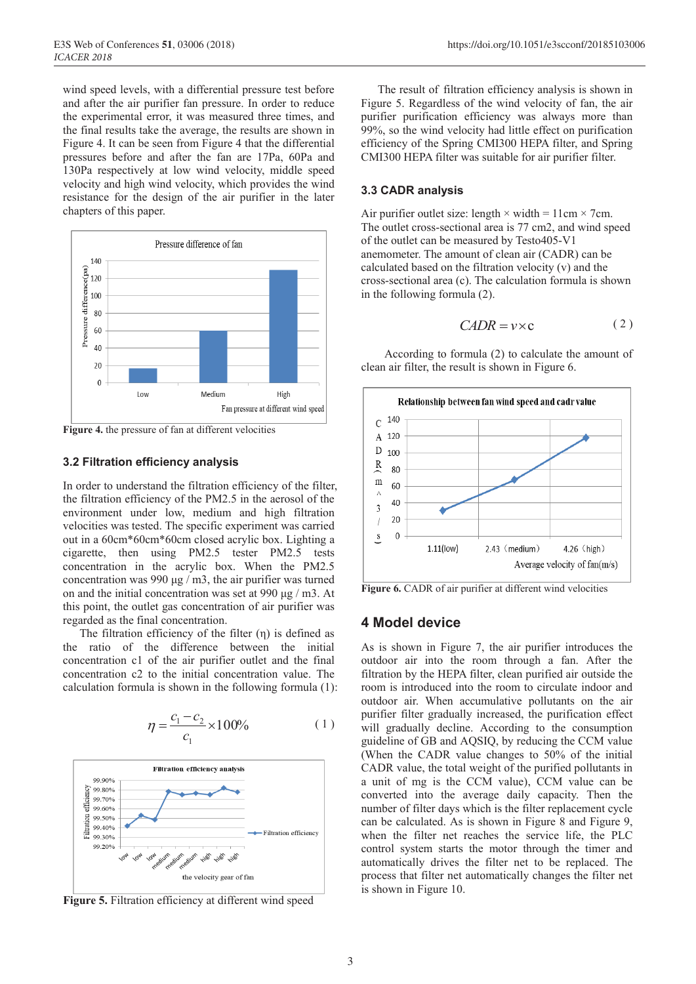wind speed levels, with a differential pressure test before and after the air purifier fan pressure. In order to reduce the experimental error, it was measured three times, and the final results take the average, the results are shown in Figure 4. It can be seen from Figure 4 that the differential pressures before and after the fan are 17Pa, 60Pa and 130Pa respectively at low wind velocity, middle speed velocity and high wind velocity, which provides the wind resistance for the design of the air purifier in the later chapters of this paper.



**Figure 4.** the pressure of fan at different velocities

#### **3.2 Filtration efficiency analysis**

In order to understand the filtration efficiency of the filter, the filtration efficiency of the PM2.5 in the aerosol of the environment under low, medium and high filtration velocities was tested. The specific experiment was carried out in a 60cm\*60cm\*60cm closed acrylic box. Lighting a cigarette, then using PM2.5 tester PM2.5 tests concentration in the acrylic box. When the PM2.5 concentration was 990 μg / m3, the air purifier was turned on and the initial concentration was set at 990 μg / m3. At this point, the outlet gas concentration of air purifier was regarded as the final concentration.

The filtration efficiency of the filter  $(η)$  is defined as the ratio of the difference between the initial concentration c1 of the air purifier outlet and the final concentration c2 to the initial concentration value. The calculation formula is shown in the following formula (1):

$$
\eta = \frac{c_1 - c_2}{c_1} \times 100\% \tag{1}
$$



**Figure 5.** Filtration efficiency at different wind speed

The result of filtration efficiency analysis is shown in Figure 5. Regardless of the wind velocity of fan, the air purifier purification efficiency was always more than 99%, so the wind velocity had little effect on purification efficiency of the Spring CMI300 HEPA filter, and Spring CMI300 HEPA filter was suitable for air purifier filter.

#### **3.3 CADR analysis**

Air purifier outlet size: length  $\times$  width = 11cm  $\times$  7cm. The outlet cross-sectional area is 77 cm2, and wind speed of the outlet can be measured by Testo405-V1 anemometer. The amount of clean air (CADR) can be calculated based on the filtration velocity (v) and the cross-sectional area (c). The calculation formula is shown in the following formula (2).

$$
CADR = v \times c \tag{2}
$$

According to formula (2) to calculate the amount of clean air filter, the result is shown in Figure 6.



**Figure 6.** CADR of air purifier at different wind velocities

#### **4 Model device**

As is shown in Figure 7, the air purifier introduces the outdoor air into the room through a fan. After the filtration by the HEPA filter, clean purified air outside the room is introduced into the room to circulate indoor and outdoor air. When accumulative pollutants on the air purifier filter gradually increased, the purification effect will gradually decline. According to the consumption guideline of GB and AQSIQ, by reducing the CCM value (When the CADR value changes to 50% of the initial CADR value, the total weight of the purified pollutants in a unit of mg is the CCM value), CCM value can be converted into the average daily capacity. Then the number of filter days which is the filter replacement cycle can be calculated. As is shown in Figure 8 and Figure 9, when the filter net reaches the service life, the PLC control system starts the motor through the timer and automatically drives the filter net to be replaced. The process that filter net automatically changes the filter net is shown in Figure 10.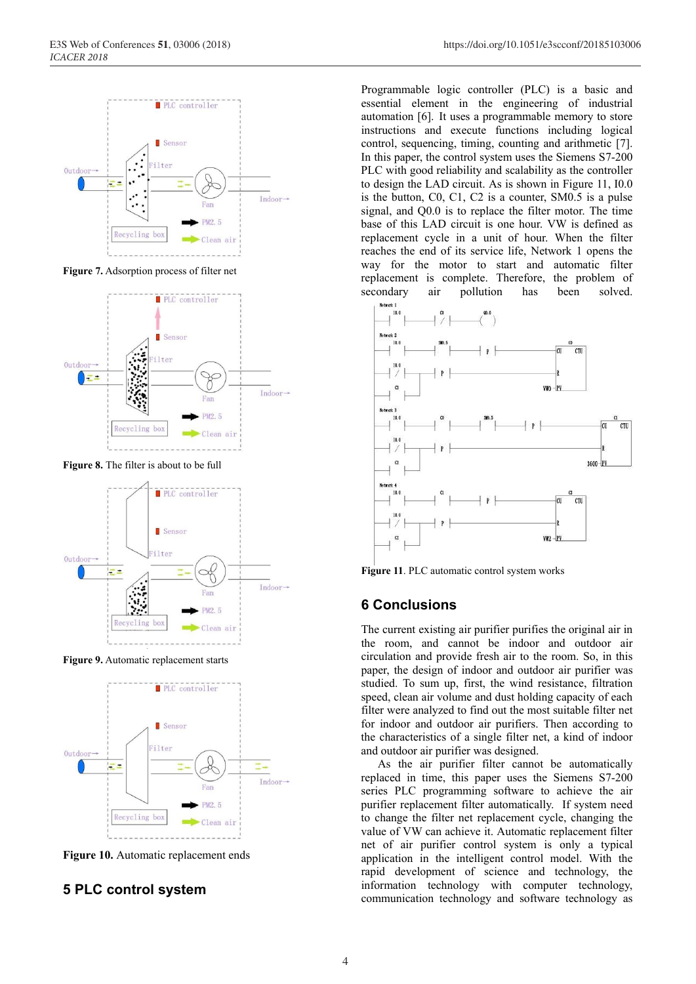

**Figure 7.** Adsorption process of filter net



Figure 8. The filter is about to be full



**Figure 9.** Automatic replacement starts



**Figure 10.** Automatic replacement ends

### **5 PLC control system**

Programmable logic controller (PLC) is a basic and essential element in the engineering of industrial automation [6]. It uses a programmable memory to store instructions and execute functions including logical control, sequencing, timing, counting and arithmetic [7]. In this paper, the control system uses the Siemens S7-200 PLC with good reliability and scalability as the controller to design the LAD circuit. As is shown in Figure 11, I0.0 is the button, C0, C1, C2 is a counter, SM0.5 is a pulse signal, and Q0.0 is to replace the filter motor. The time base of this LAD circuit is one hour. VW is defined as replacement cycle in a unit of hour. When the filter reaches the end of its service life, Network 1 opens the way for the motor to start and automatic filter replacement is complete. Therefore, the problem of secondary air pollution has been solved.



**Figure 11**. PLC automatic control system works

### **6 Conclusions**

The current existing air purifier purifies the original air in the room, and cannot be indoor and outdoor air circulation and provide fresh air to the room. So, in this paper, the design of indoor and outdoor air purifier was studied. To sum up, first, the wind resistance, filtration speed, clean air volume and dust holding capacity of each filter were analyzed to find out the most suitable filter net for indoor and outdoor air purifiers. Then according to the characteristics of a single filter net, a kind of indoor and outdoor air purifier was designed.

As the air purifier filter cannot be automatically replaced in time, this paper uses the Siemens S7-200 series PLC programming software to achieve the air purifier replacement filter automatically. If system need to change the filter net replacement cycle, changing the value of VW can achieve it. Automatic replacement filter net of air purifier control system is only a typical application in the intelligent control model. With the rapid development of science and technology, the information technology with computer technology, communication technology and software technology as